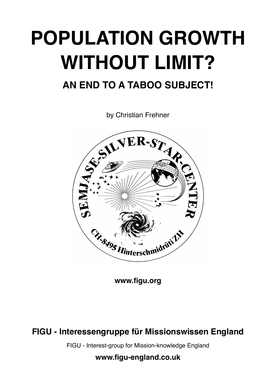# **POPULATION GROWTH WITHOUT LIMIT?**

# **AN END TO A TABOO SUBJECT!**

by Christian Frehner



**[www.figu.org](http://www.figu.org)**

## **FIGU - Interessengruppe für Missionswissen England**

FIGU - Interest-group for Mission-knowledge England

**[www.figu-england.co.uk](http://www.figu-england.co.uk)**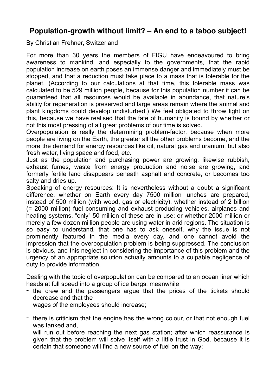### **Population-growth without limit? – An end to a taboo subject!**

By Christian Frehner, Switzerland

For more than 30 years the members of FIGU have endeavoured to bring awareness to mankind, and especially to the governments, that the rapid population increase on earth poses an immense danger and immediately must be stopped, and that a reduction must take place to a mass that is tolerable for the planet. (According to our calculations at that time, this tolerable mass was calculated to be 529 million people, because for this population number it can be guaranteed that all resources would be available in abundance, that nature's ability for regeneration is preserved and large areas remain where the animal and plant kingdoms could develop undisturbed.) We feel obligated to throw light on this, because we have realised that the fate of humanity is bound by whether or not this most pressing of all great problems of our time is solved.

Overpopulation is really the determining problem-factor, because when more people are living on the Earth, the greater all the other problems become, and the more the demand for energy resources like oil, natural gas and uranium, but also fresh water, living space and food, etc.

Just as the population and purchasing power are growing, likewise rubbish, exhaust fumes, waste from energy production and noise are growing, and formerly fertile land disappears beneath asphalt and concrete, or becomes too salty and dries up.

Speaking of energy resources: It is nevertheless without a doubt a significant difference, whether on Earth every day 7500 million lunches are prepared, instead of 500 million (with wood, gas or electricity), whether instead of 2 billion (= 2000 million) fuel consuming and exhaust producing vehicles, airplanes and heating systems, "only" 50 million of these are in use; or whether 2000 million or merely a few dozen million people are using water in arid regions. The situation is so easy to understand, that one has to ask oneself, why the issue is not prominently featured in the media every day, and one cannot avoid the impression that the overpopulation problem is being suppressed. The conclusion is obvious, and this neglect in considering the importance of this problem and the urgency of an appropriate solution actually amounts to a culpable negligence of duty to provide information.

Dealing with the topic of overpopulation can be compared to an ocean liner which heads at full speed into a group of ice bergs, meanwhile

the crew and the passengers argue that the prices of the tickets should decrease and that the

wages of the employees should increase;

- there is criticism that the engine has the wrong colour, or that not enough fuel was tanked and,

will run out before reaching the next gas station; after which reassurance is given that the problem will solve itself with a little trust in God, because it is certain that someone will find a new source of fuel on the way;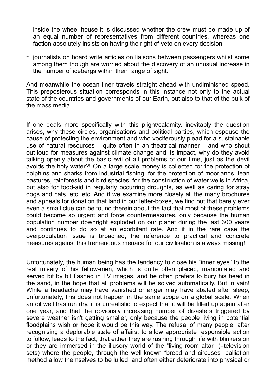- inside the wheel house it is discussed whether the crew must be made up of an equal number of representatives from different countries, whereas one faction absolutely insists on having the right of veto on every decision;
- journalists on board write articles on liaisons between passengers whilst some among them though are worried about the discovery of an unusual increase in the number of icebergs within their range of sight.

And meanwhile the ocean liner travels straight ahead with undiminished speed. This preposterous situation corresponds in this instance not only to the actual state of the countries and governments of our Earth, but also to that of the bulk of the mass media.

If one deals more specifically with this plight/calamity, inevitably the question arises, why these circles, organisations and political parties, which espouse the cause of protecting the environment and who vociferously plead for a sustainable use of natural resources – quite often in an theatrical manner – and who shout out loud for measures against climate change and its impact, why do they avoid talking openly about the basic evil of all problems of our time, just as the devil avoids the holy water?! On a large scale money is collected for the protection of dolphins and sharks from industrial fishing, for the protection of moorlands, lean pastures, rainforests and bird species, for the construction of water wells in Africa, but also for food-aid in regularly occurring droughts, as well as caring for stray dogs and cats, etc. etc. And if we examine more closely all the many brochures and appeals for donation that land in our letter-boxes, we find out that barely ever even a small clue can be found therein about the fact that most of these problems could become so urgent and force countermeasures, only because the human population number downright exploded on our planet during the last 300 years and continues to do so at an exorbitant rate. And if in the rare case the overpopulation issue is broached, the reference to practical and concrete measures against this tremendous menace for our civilisation is always missing!

Unfortunately, the human being has the tendency to close his "inner eyes" to the real misery of his fellow-men, which is quite often placed, manipulated and served bit by bit flashed in TV images, and he often prefers to bury his head in the sand, in the hope that all problems will be solved automatically. But in vain! While a headache may have vanished or anger may have abated after sleep, unfortunately, this does not happen in the same scope on a global scale. When an oil well has run dry, it is unrealistic to expect that it will be filled up again after one year, and that the obviously increasing number of disasters triggered by severe weather isn't getting smaller, only because the people living in potential floodplains wish or hope it would be this way. The refusal of many people, after recognising a deplorable state of affairs, to allow appropriate responsible action to follow, leads to the fact, that either they are rushing through life with blinkers on or they are immersed in the illusory world of the "living-room altar" (=television sets) where the people, through the well-known "bread and circuses" palliation method allow themselves to be lulled, and often either deteriorate into physical or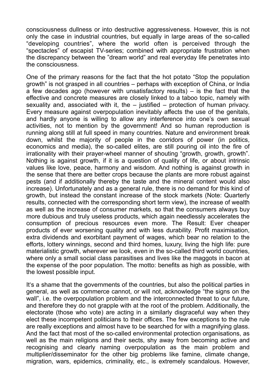consciousness dullness or into destructive aggressiveness. However, this is not only the case in industrial countries, but equally in large areas of the so-called "developing countries", where the world often is perceived through the "spectacles" of escapist TV-series; combined with appropriate frustration when the discrepancy between the "dream world" and real everyday life penetrates into the consciousness.

One of the primary reasons for the fact that the hot potato "Stop the population growth" is not grasped in all countries – perhaps with exception of China, or India  $\alpha$  few decades ago (however with unsatisfactory results) – is the fact that the effective and concrete measures are closely linked to a taboo topic, namely with sexuality and, associated with it, the  $-$  iustified  $-$  protection of human privacy. Every measure against overpopulation inevitably affects the use of the genitals, and hardly anyone is willing to allow any interference into one's own sexual activities, not to mention by the government! And so human reproduction is running along still at full speed in many countries. Nature and environment break down, whilst the majority of people in the corridors of power (in politics, economics and media), the so-called elites, are still pouring oil into the fire of irrationality with their prayer-wheel manner of shouting "growth, growth, growth". Nothing is against growth, if it is a question of quality of life, or about intrinsic values like love, peace, harmony and wisdom. And nothing is against growth in the sense that there are better crops because the plants are more robust against pests (and if additionally thereby the taste and the mineral content would also increase). Unfortunately and as a general rule, there is no demand for this kind of growth, but instead the constant increase of the stock markets (Note: Quarterly results, connected with the corresponding short term view), the increase of wealth as well as the increase of consumer markets, so that the consumers always buy more dubious and truly useless products, which again needlessly accelerates the consumption of precious resources even more. The Result: Ever cheaper products of ever worsening quality and with less durability. Profit maximisation, extra dividends and exorbitant payment of wages, which bear no relation to the efforts, lottery winnings, second and third homes, luxury, living the high life: pure materialistic growth, wherever we look, even in the so-called third world countries, where only a small social class parasitises and lives like the maggots in bacon at the expense of the poor population. The motto: benefits as high as possible, with the lowest possible input.

It's a shame that the governments of the countries, but also the political parties in general, as well as commerce cannot, or will not, acknowledge "the signs on the wall", i.e. the overpopulation problem and the interconnected threat to our future, and therefore they do not grapple with at the root of the problem. Additionally, the electorate (those who vote) are acting in a similarly disgraceful way when they elect these incompetent politicians to their offices. The few exceptions to the rule are really exceptions and almost have to be searched for with a magnifying glass. And the fact that most of the so-called environmental protection organisations, as well as the main religions and their sects, shy away from becoming active and recognising and clearly naming overpopulation as the main problem and multiplier/disseminator for the other big problems like famine, climate change, migration, wars, epidemics, criminality, etc., is extremely scandalous. However,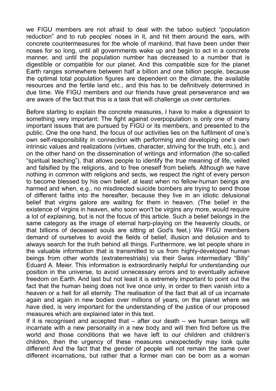we FIGU members are not afraid to deal with the taboo subject "population reduction" and to rub peoples' noses in it, and hit them around the ears, with concrete countermeasures for the whole of mankind, that have been under their noses for so long, until all governments wake up and begin to act in a concrete manner, and until the population number has decreased to a number that is digestible or compatible for our planet. And this compatible size for the planet Earth ranges somewhere between half a billion and one billion people, because the optimal total population figures are dependent on the climate, the available resources and the fertile land etc., and this has to be definitively determined in due time. We FIGU members and our friends have great perseverance and we are aware of the fact that this is a task that will challenge us over centuries.

Before starting to explain the concrete measures, I have to make a digression to something very important: The fight against overpopulation is only one of many important issues that are pursued by FIGU or its members, and presented to the public. One the one hand, the focus of our activities lies on the fulfilment of one's own self-responsibility in connection with performing and developing one's own intrinsic values and realizations (virtues, character, striving for the truth, etc.), and on the other hand on the dissemination of writings and information (the so-called "spiritual teaching"), that allows people to identify the true meaning of life, veiled and falsified by the religions, and to free oneself from beliefs. Although we have nothing in common with religions and sects, we respect the right of every person to become blessed by his own belief, at least when no fellow-human beings are harmed and when, e.g., no misdirected suicide bombers are trying to send those of different faiths into the hereafter, because they live in an idiotic delusional belief that virgins galore are waiting for them in heaven. (The belief in the existence of virgins in heaven, who soon won't be virgins any more, would require a lot of explaining, but is not the focus of this article. Such a belief belongs in the same category as the image of eternal harp-playing on the heavenly clouds, or that billions of deceased souls are sitting at God's feet.) We FIGU members demand of ourselves to avoid the fields of belief, illusion and delusion and to always search for the truth behind all things. Furthermore, we let people share in the valuable information that is transmitted to us from highly-developed human beings from other worlds (extraterrestrials) via their Swiss intermediary "Billy" Eduard A. Meier. This information is extraordinarily helpful for understanding our position in the universe, to avoid unnecessary errors and to eventually achieve freedom on Earth. And last but not least it is extremely important to point out the fact that the human being does not live once only, in order to then vanish into a heaven or a hell for all eternity. The realisation of the fact that all of us incarnate again and again in new bodies over millions of years, on the planet where we have died, is very important for the understanding of the justice of our proposed measures which are explained later in this text.

If it is recognised and accepted that  $-$  after our death  $-$  we human beings will incarnate with a new personality in a new body and will then find before us the world and those conditions that we have left to our children and children's children, then the urgency of these measures unexpectedly may look quite different! And the fact that the gender of people will not remain the same over different incarnations, but rather that a former man can be born as a woman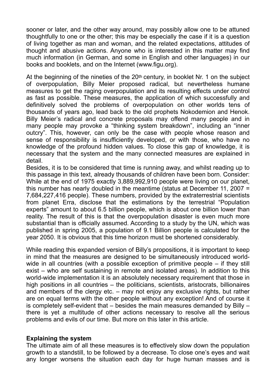sooner or later, and the other way around, may possibly allow one to be attuned thoughtfully to one or the other; this may be especially the case if it is a question of living together as man and woman, and the related expectations, attitudes of thought and abusive actions. Anyone who is interested in this matter may find much information (in German, and some in English and other languages) in our books and booklets, and on the Internet (www.figu.org).

At the beginning of the nineties of the 20th century, in booklet Nr. 1 on the subject of overpopulation, Billy Meier proposed radical, but nevertheless humane measures to get the raging overpopulation and its resulting effects under control as fast as possible. These measures, the application of which successfully and definitively solved the problems of overpopulation on other worlds tens of thousands of years ago, lead back to the old prophets Nokodemion and Henok. Billy Meier's radical and concrete proposals may offend many people and in many people may provoke a "thinking system breakdown", including an "inner outcry". This, however, can only be the case with people whose reason and sense of responsibility is insufficiently developed, or with those, who have no knowledge of the profound hidden values. To close this gap of knowledge, it is necessary that the system and the many connected measures are explained in detail.

Besides, it is to be considered that time is running away, and whilst reading up to this passage in this text, already thousands of children have been born. Consider: While at the end of 1975 exactly 3,889,992,910 people were living on our planet, this number has nearly doubled in the meantime (status at December 11, 2007 = 7,684,227,416 people). These numbers, provided by the extraterrestrial scientists from planet Erra, disclose that the estimations by the terrestrial "Population experts" amount to about 6.5 billion people, which is about one billion lower than reality. The result of this is that the overpopulation disaster is even much more substantial than is officially assumed. According to a study by the UN, which was published in spring 2005, a population of 9.1 Billion people is calculated for the year 2050. It is obvious that this time horizon must be shortened considerably.

While reading this expanded version of Billy's propositions, it is important to keep in mind that the measures are designed to be simultaneously introduced worldwide in all countries (with a possible exception of primitive people – if they still exist – who are self sustaining in remote and isolated areas). In addition to this world-wide implementation it is an absolutely necessary requirement that those in high positions in all countries – the politicians, scientists, aristocrats, billionaires and members of the clergy etc. – may not enjoy any exclusive rights, but rather are on equal terms with the other people without any exception! And of course it is completely self-evident that – besides the main measures demanded by Billy – there is yet a multitude of other actions necessary to resolve all the serious problems and evils of our time. But more on this later in this article.

#### **Explaining the system**

The ultimate aim of all these measures is to effectively slow down the population growth to a standstill, to be followed by a decrease. To close one's eyes and wait any longer worsens the situation each day for huge human masses and is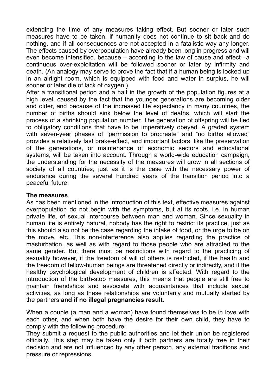extending the time of any measures taking effect. But sooner or later such measures have to be taken, if humanity does not continue to sit back and do nothing, and if all consequences are not accepted in a fatalistic way any longer. The effects caused by overpopulation have already been long in progress and will even become intensified, because – according to the law of cause and effect –a continuous over-exploitation will be followed sooner or later by infirmity and death. (An analogy may serve to prove the fact that if a human being is locked up in an airtight room, which is equipped with food and water in surplus, he will sooner or later die of lack of oxygen.)

After a transitional period and a halt in the growth of the population figures at a high level, caused by the fact that the younger generations are becoming older and older, and because of the increased life expectancy in many countries, the number of births should sink below the level of deaths, which will start the process of a shrinking population number. The generation of offspring will be tied to obligatory conditions that have to be imperatively obeyed. A graded system with seven-year phases of "permission to procreate" and "no births allowed" provides a relatively fast brake-effect, and important factors, like the preservation of the generations, or maintenance of economic sectors and educational systems, will be taken into account. Through a world-wide education campaign, the understanding for the necessity of the measures will grow in all sections of society of all countries, just as it is the case with the necessary power of endurance during the several hundred years of the transition period into a peaceful future.

#### **The measures**

As has been mentioned in the introduction of this text, effective measures against overpopulation do not begin with the symptoms, but at its roots, i.e. in human private life, of sexual intercourse between man and woman. Since sexuality in human life is entirely natural, nobody has the right to restrict its practice, just as this should also not be the case regarding the intake of food, or the urge to be on the move, etc. This non-interference also applies regarding the practice of masturbation, as well as with regard to those people who are attracted to the same gender. But there must be restrictions with regard to the practicing of sexuality however, if the freedom of will of others is restricted, if the health and the freedom of fellow-human beings are threatened directly or indirectly, and if the healthy psychological development of children is affected. With regard to the introduction of the birth-stop measures, this means that people are still free to maintain friendships and associate with acquaintances that include sexual activities, as long as these relationships are voluntarily and mutually started by the partners **and if no illegal pregnancies result**.

When a couple (a man and a woman) have found themselves to be in love with each other, and when both have the desire for their own child, they have to comply with the following procedure:

They submit a request to the public authorities and let their union be registered officially. This step may be taken only if both partners are totally free in their decision and are not influenced by any other person, any external traditions and pressure or repressions.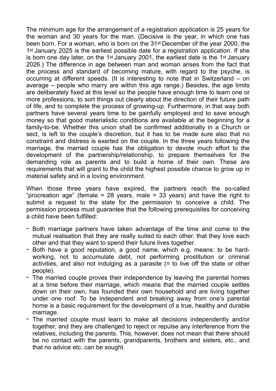The minimum age for the arrangement of a registration application is 25 years for the woman and 30 years for the man. (Decisive is the year, in which one has been born. For a woman, who is born on the 31st December of the year 2000, the 1st January 2025 is the earliest possible date for a registration application. If she is born one day later, on the 1st January 2001, the earliest date is the 1st January 2026.) The difference in age between man and woman arises from the fact that the process and standard of becoming mature, with regard to the psyche, is occurring at different speeds. (It is interesting to note that in Switzerland – on average – people who marry are within this age range.) Besides, the age limits are deliberately fixed at this level so the people have enough time to learn one or more professions, to sort things out clearly about the direction of their future path of life, and to complete the process of growing-up. Furthermore, in that way both partners have several years time to be gainfully employed and to save enough money so that good materialistic conditions are available at the beginning for a family-to-be. Whether this union shall be confirmed additionally in a Church or sect, is left to the couple's discretion, but it has to be made sure also that no constraint and distress is exerted on the couple. In the three years following the marriage, the married couple has the obligation to devote much effort to the development of the partnership/relationship, to prepare themselves for the demanding role as parents and to build a home of their own. These are requirements that will grant to the child the highest possible chance to grow up in material safety and in a loving environment.

When those three years have expired, the partners reach the so-called "procreation age" (female = 28 years, male = 33 years) and have the right to submit a request to the state for the permission to conceive a child. The permission process must guarantee that the following prerequisites for conceiving a child have been fulfilled:

- Both marriage partners have taken advantage of the time and come to the mutual realisation that they are really suited to each other, that they love each other and that they want to spend their future lives together.
- Both have a good reputation, a good name, which e.g. means: to be hardworking, not to accumulate debt, not performing prostitution or criminal activities, and also not indulging as a parasite (= to live off the state or other people).
- The married couple proves their independence by leaving the parental homes at a time before their marriage, which means that the married couple settles down on their own, has founded their own household and are living together under one roof. To be independent and breaking away from one's parental home is a basic requirement for the development of a true, healthy and durable marriage.
- The married couple must learn to make all decisions independently and/or together, and they are challenged to reject or repulse any interference from the relatives, including the parents. This, however, does not mean that there should be no contact with the parents, grandparents, brothers and sisters, etc., and that no advice etc. can be sought.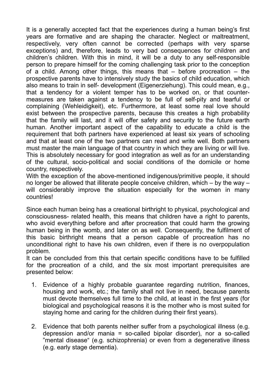It is a generally accepted fact that the experiences during a human being's first years are formative and are shaping the character. Neglect or maltreatment, respectively, very often cannot be corrected (perhaps with very sparse exceptions) and, therefore, leads to very bad consequences for children and children's children. With this in mind, it will be a duty to any self-responsible person to prepare himself for the coming challenging task prior to the conception of a child. Among other things, this means that – before procreation – the prospective parents have to intensively study the basics of child education, which also means to train in self- development (Eigenerziehung). This could mean, e.g., that a tendency for a violent temper has to be worked on, or that countermeasures are taken against a tendency to be full of self-pity and tearful or complaining (Wehleidigkeit), etc. Furthermore, at least some real love should exist between the prospective parents, because this creates a high probability that the family will last, and it will offer safety and security to the future earth human. Another important aspect of the capability to educate a child is the requirement that both partners have experienced at least six years of schooling and that at least one of the two partners can read and write well. Both partners must master the main language of that country in which they are living or will live. This is absolutely necessary for good integration as well as for an understanding of the cultural, socio-political and social conditions of the domicile or home country, respectively.

With the exception of the above-mentioned indigenous/primitive people, it should no longer be allowed that illiterate people conceive children, which – by the way – will considerably improve the situation especially for the women in many countries!

Since each human being has a creational birthright to physical, psychological and consciousness- related health, this means that children have a right to parents, who avoid everything before and after procreation that could harm the growing human being in the womb, and later on as well. Consequently, the fulfilment of this basic birthright means that a person capable of procreation has no unconditional right to have his own children, even if there is no overpopulation problem.

It can be concluded from this that certain specific conditions have to be fulfilled for the procreation of a child, and the six most important prerequisites are presented below:

- 1. Evidence of a highly probable guarantee regarding nutrition, finances, housing and work, etc.; the family shall not live in need, because parents must devote themselves full time to the child, at least in the first years (for biological and psychological reasons it is the mother who is most suited for staying home and caring for the children during their first years).
- 2. Evidence that both parents neither suffer from a psychological illness (e.g. depression and/or mania = so-called bipolar disorder), nor a so-called "mental disease" (e.g. schizophrenia) or even from a degenerative illness (e.g. early stage dementia).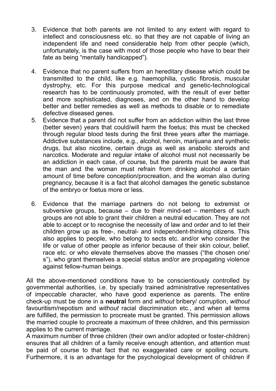- 3. Evidence that both parents are not limited to any extent with regard to intellect and consciousness etc. so that they are not capable of living an independent life and need considerable help from other people (which, unfortunately, is the case with most of those people who have to bear their fate as being "mentally handicapped").
- 4. Evidence that no parent suffers from an hereditary disease which could be transmitted to the child, like e.g. haemophilia, cystic fibrosis, muscular dystrophy, etc. For this purpose medical and genetic-technological research has to be continuously promoted, with the result of ever better and more sophisticated, diagnoses, and on the other hand to develop better and better remedies as well as methods to disable or to remediate defective diseased genes.
- 5. Evidence that a parent did not suffer from an addiction within the last three (better seven) years that could/will harm the foetus; this must be checked through regular blood tests during the first three years after the marriage. Addictive substances include, e.g., alcohol, heroin, marijuana and synthetic drugs, but also nicotine, certain drugs as well as anabolic steroids and narcotics. Moderate and regular intake of alcohol must not necessarily be an addiction in each case, of course, but the parents must be aware that the man and the woman must refrain from drinking alcohol a certain amount of time before conception/procreation, and the woman also during pregnancy, because it is a fact that alcohol damages the genetic substance of the embryo or foetus more or less.
- 6. Evidence that the marriage partners do not belong to extremist or subversive groups, because – due to their mind-set – members of such groups are not able to grant their children a neutral education. They are not able to accept or to recognise the necessity of law and order and to let their children grow up as free-, neutral- and independent-thinking citizens. This also applies to people, who belong to sects etc. and/or who consider the life or value of other people as inferior because of their skin colour, belief, race etc. or who elevate themselves above the masses ("the chosen one/ s"), who grant themselves a special status and/or are propagating violence against fellow-human beings.

All the above-mentioned conditions have to be conscientiously controlled by governmental authorities, i.e. by specially trained administrative representatives of impeccable character, who have good experience as parents. The entire check-up must be done in a **neutral** form and *without* bribery/ corruption, *without*  favouritism/nepotism and *without* racial discrimination etc., and when all terms are fulfilled, the permission to procreate must be granted. This permission allows the married couple to procreate a maximum of three children, and this permission applies to the current marriage.

A maximum number of three children (their own and/or adopted or foster-children) ensures that all children of a family receive enough attention, and attention must be paid of course to that fact that no exaggerated care or spoiling occurs. Furthermore, it is an advantage for the psychological development of children if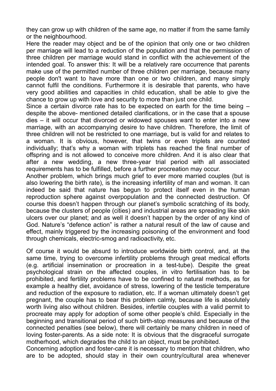they can grow up with children of the same age, no matter if from the same family or the neighbourhood.

Here the reader may object and be of the opinion that only one or two children per marriage will lead to a reduction of the population and that the permission of three children per marriage would stand in conflict with the achievement of the intended goal. To answer this: It will be a relatively rare occurrence that parents make use of the permitted number of three children per marriage, because many people don't want to have more than one or two children, and many simply cannot fulfil the conditions. Furthermore it is desirable that parents, who have very good abilities and capacities in child education, shall be able to give the chance to grow up with love and security to more than just one child.

Since a certain divorce rate has to be expected on earth for the time being – despite the above- mentioned detailed clarifications, or in the case that a spouse dies – it will occur that divorced or widowed spouses want to enter into a new marriage, with an accompanying desire to have children. Therefore, the limit of three children will not be restricted to one marriage, but is valid for and relates to a woman. It is obvious, however, that twins or even triplets are counted individually; that's why a woman with triplets has reached the final number of offspring and is not allowed to conceive more children. And it is also clear that after a new wedding, a new three-year trial period with all associated requirements has to be fulfilled, before a further procreation may occur.

Another problem, which brings much grief to ever more married couples (but is also lowering the birth rate), is the increasing infertility of man and woman. It can indeed be said that nature has begun to protect itself even in the human reproduction sphere against overpopulation and the connected destruction. Of course this doesn't happen through our planet's symbolic scratching of its body, because the clusters of people (cities) and industrial areas are spreading like skin ulcers over our planet; and as well it doesn't happen by the order of any kind of God. Nature's "defence action" is rather a natural result of the law of cause and effect, mainly triggered by the increasing poisoning of the environment and food through chemicals, electric-smog and radioactivity, etc.

Of course it would be absurd to introduce worldwide birth control, and, at the same time, trying to overcome infertility problems through great medical efforts (e.g. artificial insemination or procreation in a test-tube). Despite the great psychological strain on the affected couples, in vitro fertilisation has to be prohibited, and fertility problems have to be confined to natural methods, as for example a healthy diet, avoidance of stress, lowering of the testicle temperature and reduction of the exposure to radiation, etc. If a woman ultimately doesn't get pregnant, the couple has to bear this problem calmly, because life is absolutely worth living also without children. Besides, infertile couples with a valid permit to procreate may apply for adoption of some other people's child. Especially in the beginning and transitional period of such birth-stop measures and because of the connected penalties (see below), there will certainly be many children in need of loving foster-parents. As a side note: It is obvious that the disgraceful surrogate motherhood, which degrades the child to an object, must be prohibited.

Concerning adoption and foster-care it is necessary to mention that children, who are to be adopted, should stay in their own country/cultural area whenever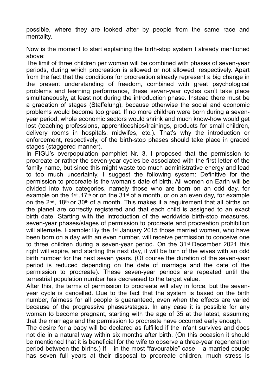possible, where they are looked after by people from the same race and mentality.

Now is the moment to start explaining the birth-stop system I already mentioned above:

The limit of three children per woman will be combined with phases of seven-year periods, during which procreation is allowed or not allowed, respectively. Apart from the fact that the conditions for procreation already represent a big change in the present understanding of freedom, combined with great psychological problems and learning performance, these seven-year cycles can't take place simultaneously, at least not during the introduction phase. Instead there must be a gradation of stages (Staffelung), because otherwise the social and economic problems would become too great. If no more children were born during a sevenyear period, whole economic sectors would shrink and much know-how would get lost (teaching professions, apprenticeships/trainings, products for small children, delivery rooms in hospitals, midwifes, etc.). That's why the introduction or enforcement, respectively, of the birth-stop phases should take place in graded stages (staggered manner).

In FIGU's overpopulation pamphlet Nr. 3, I proposed that the permission to procreate or rather the seven-year cycles be associated with the first letter of the family name, but since this might waste too much administrative energy and lead to too much uncertainty, I suggest the following system: Definitive for the permission to procreate is the woman's date of birth. All women on Earth will be divided into two categories, namely those who are born on an odd day, for example on the 1st ,17th or on the 31st of a month, or on an even day, for example on the 2nd, 18th or 30th of a month. This makes it a requirement that all births on the planet are correctly registered and that each child is assigned to an exact birth date. Starting with the introduction of the worldwide birth-stop measures, seven-year phases/stages of permission to procreate and procreation prohibition will alternate. Example: By the 1<sup>st</sup> January 2015 those married women, who have been born on a day with an even number, will receive permission to conceive one to three children during a seven-year period. On the 31st December 2021 this right will expire, and starting the next day, it will be turn of the wives with an odd birth number for the next seven years. (Of course the duration of the seven-year period is reduced depending on the date of marriage and the date of the permission to procreate). These seven-year periods are repeated until the terrestrial population number has decreased to the target value.

After this, the terms of permission to procreate will stay in force, but the sevenyear cycle is cancelled. Due to the fact that the system is based on the birth number, fairness for all people is guaranteed, even when the effects are varied because of the progressive phases/stages. In any case it is possible for any woman to become pregnant, starting with the age of 35 at the latest, assuming that the marriage and the permission to procreate have occurred early enough.

The desire for a baby will be declared as fulfilled if the infant survives and does not die in a natural way within six months after birth. (On this occasion it should be mentioned that it is beneficial for the wife to observe a three-year regeneration period between the births.) If  $-$  in the most "favourable" case  $-$  a married couple has seven full years at their disposal to procreate children, much stress is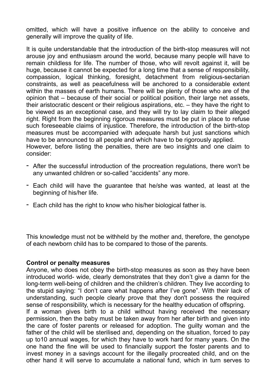omitted, which will have a positive influence on the ability to conceive and generally will improve the quality of life.

It is quite understandable that the introduction of the birth-stop measures will not arouse joy and enthusiasm around the world, because many people will have to remain childless for life. The number of those, who will revolt against it, will be huge, because it cannot be expected for a long time that a sense of responsibility, compassion, logical thinking, foresight, detachment from religious-sectarian constraints, as well as peacefulness will be anchored to a considerable extent within the masses of earth humans. There will be plenty of those who are of the opinion that – because of their social or political position, their large net assets, their aristocratic descent or their religious aspirations, etc. – they have the right to be viewed as an exceptional case, and they will try to lay claim to their alleged right. Right from the beginning rigorous measures must be put in place to refuse such foreseeable claims of injustice. Therefore, the introduction of the birth-stop measures must be accompanied with adequate harsh but just sanctions which have to be announced to all people and which have to be rigorously applied. However, before listing the penalties, there are two insights and one claim to consider:

- After the successful introduction of the procreation regulations, there won't be any unwanted children or so-called "accidents" any more.
- Each child will have the guarantee that he/she was wanted, at least at the beginning of his/her life.
- Each child has the right to know who his/her biological father is.

This knowledge must not be withheld by the mother and, therefore, the genotype of each newborn child has to be compared to those of the parents.

#### **Control or penalty measures**

Anyone, who does not obey the birth-stop measures as soon as they have been introduced world- wide, clearly demonstrates that they don't give a damn for the long-term well-being of children and the children's children. They live according to the stupid saying: "I don't care what happens after I've gone". With their lack of understanding, such people clearly prove that they don't possess the required sense of responsibility, which is necessary for the healthy education of offspring.

If a woman gives birth to a child without having received the necessary permission, then the baby must be taken away from her after birth and given into the care of foster parents or released for adoption. The guilty woman and the father of the child will be sterilised and, depending on the situation, forced to pay up to10 annual wages, for which they have to work hard for many years. On the one hand the fine will be used to financially support the foster parents and to invest money in a savings account for the illegally procreated child, and on the other hand it will serve to accumulate a national fund, which in turn serves to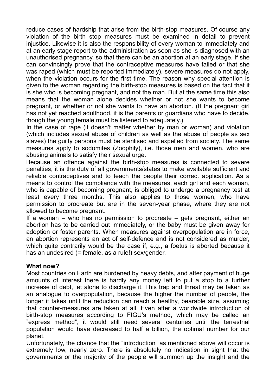reduce cases of hardship that arise from the birth-stop measures. Of course any violation of the birth stop measures must be examined in detail to prevent injustice. Likewise it is also the responsibility of every woman to immediately and at an early stage report to the administration as soon as she is diagnosed with an unauthorised pregnancy, so that there can be an abortion at an early stage. If she can convincingly prove that the contraceptive measures have failed or that she was raped (which must be reported immediately), severe measures do not apply, when the violation occurs for the first time. The reason why special attention is given to the woman regarding the birth-stop measures is based on the fact that it is she who is becoming pregnant, and not the man. But at the same time this also means that the woman alone decides whether or not she wants to become pregnant, or whether or not she wants to have an abortion. (If the pregnant girl has not yet reached adulthood, it is the parents or guardians who have to decide, though the young female must be listened to adequately.)

In the case of rape (it doesn't matter whether by man or woman) and violation (which includes sexual abuse of children as well as the abuse of people as sex slaves) the guilty persons must be sterilised and expelled from society. The same measures apply to sodomites (Zoophily), i.e. those men and women, who are abusing animals to satisfy their sexual urge.

Because an offence against the birth-stop measures is connected to severe penalties, it is the duty of all governments/states to make available sufficient and reliable contraceptives and to teach the people their correct application. As a means to control the compliance with the measures, each girl and each woman, who is capable of becoming pregnant, is obliged to undergo a pregnancy test at least every three months. This also applies to those women, who have permission to procreate but are in the seven-year phase, where they are not allowed to become pregnant.

If a woman – who has no permission to procreate – gets pregnant, either an abortion has to be carried out immediately, or the baby must be given away for adoption or foster parents. When measures against overpopulation are in force, an abortion represents an act of self-defence and is not considered as murder, which quite contrarily would be the case if, e.g., a foetus is aborted because it has an undesired (= female, as a rule!) sex/gender.

#### **What now?**

Most countries on Earth are burdened by heavy debts, and after payment of huge amounts of interest there is hardly any money left to put a stop to a further increase of debt, let alone to discharge it. This trap and threat may be taken as an analogue to overpopulation, because the higher the number of people, the longer it takes until the reduction can reach a healthy, bearable size, assuming that counter-measures are taken at all. Even after a worldwide introduction of birth-stop measures according to FIGU's method, which may be called an "express method", it would still need several centuries until the terrestrial population would have decreased to half a billion, the optimal number for our planet.

Unfortunately, the chance that the "introduction" as mentioned above will occur is extremely low, nearly zero. There is absolutely no indication in sight that the governments or the majority of the people will summon up the insight and the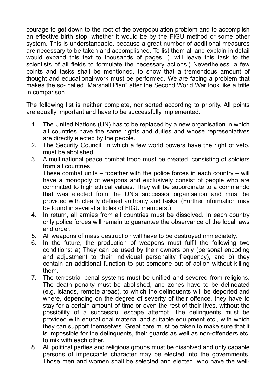courage to get down to the root of the overpopulation problem and to accomplish an effective birth stop, whether it would be by the FIGU method or some other system. This is understandable, because a great number of additional measures are necessary to be taken and accomplished. To list them all and explain in detail would expand this text to thousands of pages. (I will leave this task to the scientists of all fields to formulate the necessary actions.) Nevertheless, a few points and tasks shall be mentioned, to show that a tremendous amount of thought and educational-work must be performed. We are facing a problem that makes the so- called "Marshall Plan" after the Second World War look like a trifle in comparison.

The following list is neither complete, nor sorted according to priority. All points are equally important and have to be successfully implemented.

- 1. The United Nations (UN) has to be replaced by a new organisation in which all countries have the same rights and duties and whose representatives are directly elected by the people.
- 2. The Security Council, in which a few world powers have the right of veto, must be abolished.
- 3. A multinational peace combat troop must be created, consisting of soldiers from all countries.

These combat units  $-$  together with the police forces in each country  $-$  will have a monopoly of weapons and exclusively consist of people who are committed to high ethical values. They will be subordinate to a commando that was elected from the UN's successor organisation and must be provided with clearly defined authority and tasks. (Further information may be found in several articles of FIGU members.)

- 4. In return, all armies from all countries must be dissolved. In each country only police forces will remain to guarantee the observance of the local laws and order.
- 5. All weapons of mass destruction will have to be destroyed immediately.
- 6. In the future, the production of weapons must fulfil the following two conditions: a) They can be used by their owners only (personal encoding and adjustment to their individual personality frequency), and b) they contain an additional function to put someone out of action without killing them.
- 7. The terrestrial penal systems must be unified and severed from religions. The death penalty must be abolished, and zones have to be delineated (e.g. islands, remote areas), to which the delinquents will be deported and where, depending on the degree of severity of their offence, they have to stay for a certain amount of time or even the rest of their lives, without the possibility of a successful escape attempt. The delinquents must be provided with educational material and suitable equipment etc., with which they can support themselves. Great care must be taken to make sure that it is impossible for the delinquents, their guards as well as non-offenders etc. to mix with each other.
- 8. All political parties and religious groups must be dissolved and only capable persons of impeccable character may be elected into the governments. Those men and women shall be selected and elected, who have the well-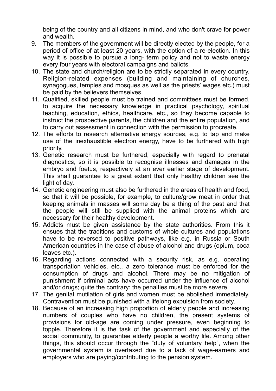being of the country and all citizens in mind, and who don't crave for power and wealth.

- 9. The members of the government will be directly elected by the people, for a period of office of at least 20 years, with the option of a re-election. In this way it is possible to pursue a long- term policy and not to waste energy every four years with electoral campaigns and ballots.
- 10. The state and church/religion are to be strictly separated in every country. Religion-related expenses (building and maintaining of churches, synagogues, temples and mosques as well as the priests' wages etc.) must be paid by the believers themselves.
- 11. Qualified, skilled people must be trained and committees must be formed, to acquire the necessary knowledge in practical psychology, spiritual teaching, education, ethics, healthcare, etc., so they become capable to instruct the prospective parents, the children and the entire population, and to carry out assessment in connection with the permission to procreate.
- 12. The efforts to research alternative energy sources, e.g. to tap and make use of the inexhaustible electron energy, have to be furthered with high priority.
- 13. Genetic research must be furthered, especially with regard to prenatal diagnostics, so it is possible to recognise illnesses and damages in the embryo and foetus, respectively at an ever earlier stage of development. This shall guarantee to a great extent that only healthy children see the light of day.
- 14. Genetic engineering must also be furthered in the areas of health and food, so that it will be possible, for example, to culture/grow meat in order that keeping animals in masses will some day be a thing of the past and that the people will still be supplied with the animal proteins which are necessary for their healthy development.
- 15. Addicts must be given assistance by the state authorities. From this it ensues that the traditions and customs of whole cultures and populations have to be reversed to positive pathways, like e.g. in Russia or South American countries in the case of abuse of alcohol and drugs (opium, coca leaves etc.).
- 16. Regarding actions connected with a security risk, as e.g. operating transportation vehicles, etc., a zero tolerance must be enforced for the consumption of drugs and alcohol. There may be no mitigation of punishment if criminal acts have occurred under the influence of alcohol and/or drugs; quite the contrary: the penalties must be more severe.
- 17. The genital mutilation of girls and women must be abolished immediately. Contravention must be punished with a lifelong expulsion from society.
- 18. Because of an increasing high proportion of elderly people and increasing numbers of couples who have no children, the present systems of provisions for old-age are coming under pressure, even beginning to topple. Therefore it is the task of the government and especially of the social community, to guarantee elderly people a worthy life. Among other things, this should occur through the "duty of voluntary help", when the governmental system is overtaxed due to a lack of wage-earners and employers who are paying/contributing to the pension system.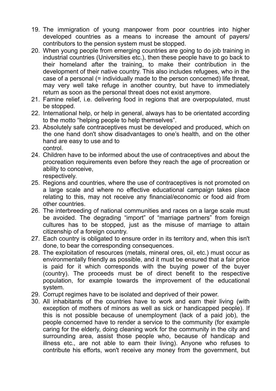- 19. The immigration of young manpower from poor countries into higher developed countries as a means to increase the amount of payers/ contributors to the pension system must be stopped.
- 20. When young people from emerging countries are going to do job training in industrial countries (Universities etc.), then these people have to go back to their homeland after the training, to make their contribution in the development of their native country. This also includes refugees, who in the case of a personal (= individually made to the person concerned) life threat, may very well take refuge in another country, but have to immediately return as soon as the personal threat does not exist anymore.
- 21. Famine relief, i.e. delivering food in regions that are overpopulated, must be stopped.
- 22. International help, or help in general, always has to be orientated according to the motto "helping people to help themselves".
- 23. Absolutely safe contraceptives must be developed and produced, which on the one hand don't show disadvantages to one's health, and on the other hand are easy to use and to control.
- 24. Children have to be informed about the use of contraceptives and about the procreation requirements even before they reach the age of procreation or ability to conceive,

respectively.

- 25. Regions and countries, where the use of contraceptives is not promoted on a large scale and where no effective educational campaign takes place relating to this, may not receive any financial/economic or food aid from other countries.
- 26. The interbreeding of national communities and races on a large scale must be avoided. The degrading "import" of "marriage partners" from foreign cultures has to be stopped, just as the misuse of marriage to attain citizenship of a foreign country.
- 27. Each country is obligated to ensure order in its territory and, when this isn't done, to bear the corresponding consequences.
- 28. The exploitation of resources (metals, mineral ores, oil, etc.) must occur as environmentally friendly as possible, and it must be ensured that a fair price is paid for it which corresponds with the buying power of the buyer (country). The proceeds must be of direct benefit to the respective population, for example towards the improvement of the educational system.
- 29. Corrupt regimes have to be isolated and deprived of their power.
- 30. All inhabitants of the countries have to work and earn their living (with exception of mothers of minors as well as sick or handicapped people). If this is not possible because of unemployment (lack of a paid job), the people concerned have to render a service to the community (for example caring for the elderly, doing cleaning work for the community in the city and surrounding area, assist those people who, because of handicap and illness etc., are not able to earn their living). Anyone who refuses to contribute his efforts, won't receive any money from the government, but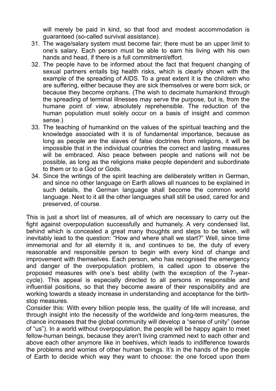will merely be paid in kind, so that food and modest accommodation is guaranteed (so-called survival assistance).

- 31. The wage/salary system must become fair; there must be an upper limit to one's salary. Each person must be able to earn his living with his own hands and head, if there is a full commitment/effort.
- 32. The people have to be informed about the fact that frequent changing of sexual partners entails big health risks, which is clearly shown with the example of the spreading of AIDS. To a great extent it is the children who are suffering, either because they are sick themselves or were born sick, or because they become orphans. (The wish to decimate humankind through the spreading of terminal illnesses may serve the purpose, but is, from the humane point of view, absolutely reprehensible. The reduction of the human population must solely occur on a basis of insight and common sense.)
- 33. The teaching of humankind on the values of the spiritual teaching and the knowledge associated with it is of fundamental importance, because as long as people are the slaves of false doctrines from religions, it will be impossible that in the individual countries the correct and lasting measures will be embraced. Also peace between people and nations will not be possible, as long as the religions make people dependent and subordinate to them or to a God or Gods.
- 34. Since the writings of the spirit teaching are deliberately written in German, and since no other language on Earth allows all nuances to be explained in such details, the German language shall become the common world language. Next to it all the other languages shall still be used, cared for and preserved, of course.

This is just a short list of measures, all of which are necessary to carry out the fight against overpopulation successfully and humanely. A very condensed list, behind which is concealed a great many thoughts and steps to be taken, will inevitably lead to the question: "How and where shall we start?" Well, since time immemorial and for all eternity it is, and continues to be, the duty of every reasonable and responsible person to begin with every kind of change and improvement with themselves. Each person, who has recognised the emergency and danger of the overpopulation problem, is called upon to observe the proposed measures with one's best ability (with the exception of the 7-yearcycle). This appeal is especially directed to all persons in responsible and influential positions, so that they become aware of their responsibility and are working towards a steady increase in understanding and acceptance for the birthstop measures.

Consider this: With every billion people less, the quality of life will increase, and through insight into the necessity of the worldwide and long-term measures, the chance increases that the global community will develop a "sense of unity" (sense of "us"). In a world without overpopulation, the people will be happy again to meet fellow-human beings, because they aren't living crammed next to each other and above each other anymore like in beehives, which leads to indifference towards the problems and worries of other human beings. It's in the hands of the people of Earth to decide which way they want to choose: the one forced upon them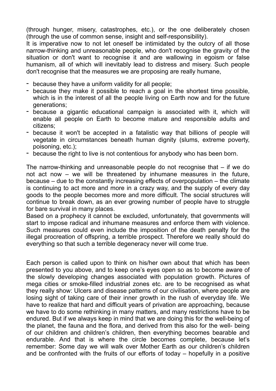(through hunger, misery, catastrophes, etc.), or the one deliberately chosen (through the use of common sense, insight and self-responsibility).

It is imperative now to not let oneself be intimidated by the outcry of all those narrow-thinking and unreasonable people, who don't recognise the gravity of the situation or don't want to recognise it and are wallowing in egoism or false humanism, all of which will inevitably lead to distress and misery. Such people don't recognise that the measures we are proposing are really humane,

- because they have a uniform validity for all people;
- because they make it possible to reach a goal in the shortest time possible, which is in the interest of all the people living on Earth now and for the future generations;
- because a gigantic educational campaign is associated with it, which will enable all people on Earth to become mature and responsible adults and citizens;
- because it won't be accepted in a fatalistic way that billions of people will vegetate in circumstances beneath human dignity (slums, extreme poverty, poisoning, etc.);
- because the right to live is not contentious for anybody who has been born.

The narrow-thinking and unreasonable people do not recognise that – if we do not act now – we will be threatened by inhumane measures in the future, because – due to the constantly increasing effects of overpopulation – the climate is continuing to act more and more in a crazy way, and the supply of every day goods to the people becomes more and more difficult. The social structures will continue to break down, as an ever growing number of people have to struggle for bare survival in many places.

Based on a prophecy it cannot be excluded, unfortunately, that governments will start to impose radical and inhumane measures and enforce them with violence. Such measures could even include the imposition of the death penalty for the illegal procreation of offspring, a terrible prospect. Therefore we really should do everything so that such a terrible degeneracy never will come true.

Each person is called upon to think on his/her own about that which has been presented to you above, and to keep one's eyes open so as to become aware of the slowly developing changes associated with population growth. Pictures of mega cities or smoke-filled industrial zones etc. are to be recognised as what they really show: Ulcers and disease patterns of our civilisation, where people are losing sight of taking care of their inner growth in the rush of everyday life. We have to realize that hard and difficult years of privation are approaching, because we have to do some rethinking in many matters, and many restrictions have to be endured. But if we always keep in mind that we are doing this for the well-being of the planet, the fauna and the flora, and derived from this also for the well- being of our children and children's children, then everything becomes bearable and endurable. And that is where the circle becomes complete, because let's remember: Some day we will walk over Mother Earth as our children's children and be confronted with the fruits of our efforts of today – hopefully in a positive